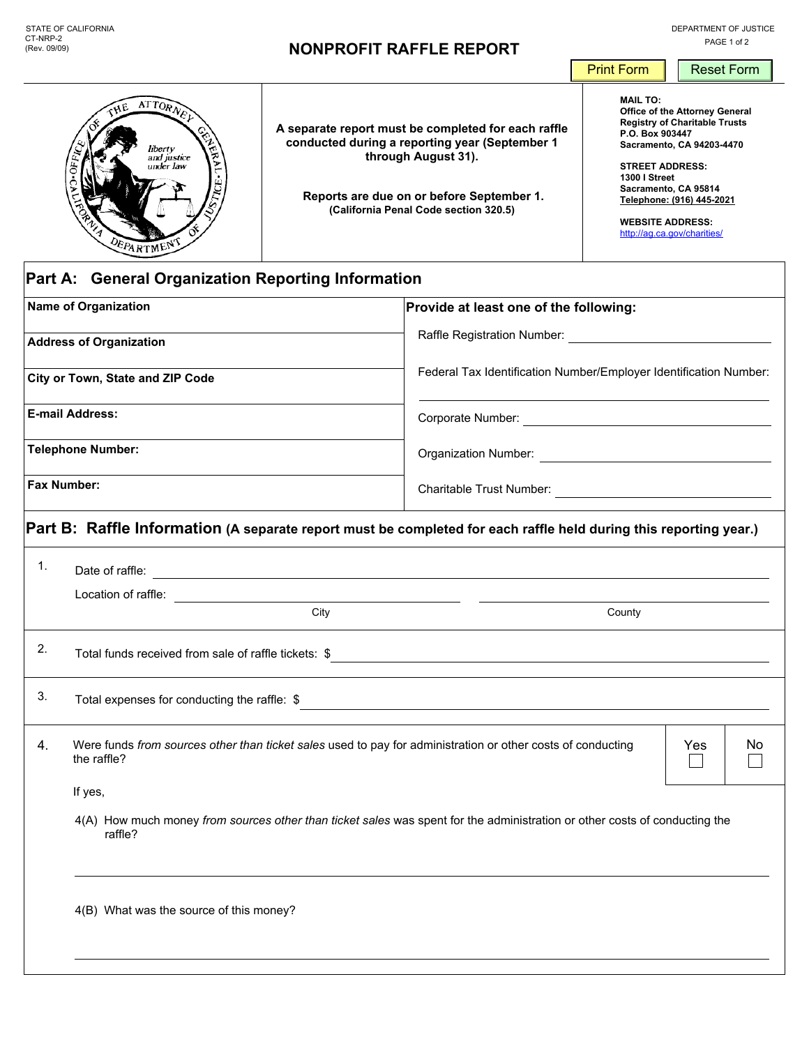|                                                                                             |  |                                                                                                                                                                                                                    | <b>Print Form</b>                                                                                                                                                                                                                                                                                          | <b>Reset Form</b> |  |  |  |  |  |
|---------------------------------------------------------------------------------------------|--|--------------------------------------------------------------------------------------------------------------------------------------------------------------------------------------------------------------------|------------------------------------------------------------------------------------------------------------------------------------------------------------------------------------------------------------------------------------------------------------------------------------------------------------|-------------------|--|--|--|--|--|
| $ATTOR$ N <sub>E</sub><br>liberty<br>딜<br>and justice<br>under law<br>Ë<br><b>DEPARTMEN</b> |  | A separate report must be completed for each raffle<br>conducted during a reporting year (September 1<br>through August 31).<br>Reports are due on or before September 1.<br>(California Penal Code section 320.5) | <b>MAIL TO:</b><br>Office of the Attorney General<br><b>Registry of Charitable Trusts</b><br>P.O. Box 903447<br>Sacramento, CA 94203-4470<br><b>STREET ADDRESS:</b><br><b>1300   Street</b><br>Sacramento, CA 95814<br>Telephone: (916) 445-2021<br><b>WEBSITE ADDRESS:</b><br>http://aq.ca.gov/charities/ |                   |  |  |  |  |  |
| Part A: General Organization Reporting Information                                          |  |                                                                                                                                                                                                                    |                                                                                                                                                                                                                                                                                                            |                   |  |  |  |  |  |
| <b>Name of Organization</b>                                                                 |  | Provide at least one of the following:                                                                                                                                                                             |                                                                                                                                                                                                                                                                                                            |                   |  |  |  |  |  |
| <b>Address of Organization</b>                                                              |  | Raffle Registration Number:                                                                                                                                                                                        |                                                                                                                                                                                                                                                                                                            |                   |  |  |  |  |  |
| City or Town, State and ZIP Code                                                            |  | Federal Tax Identification Number/Employer Identification Number:                                                                                                                                                  |                                                                                                                                                                                                                                                                                                            |                   |  |  |  |  |  |

**E-mail Address:**

**Telephone Number:**

**Fax Number:**

**Part B: Raffle Information (A separate report must be completed for each raffle held during this reporting year.)**

Corporate Number: <u>Corporate Number:</u>

Charitable Trust Number:

Organization Number:

<u> 1989 - Johann Barn, mars eta bainar eta baina eta baina eta baina eta baina eta baina eta baina eta baina e</u>

 $\overline{\phantom{0}}$ 

| 1. | Date of raffle:                                                                                                                                                              |     |    |  |  |  |
|----|------------------------------------------------------------------------------------------------------------------------------------------------------------------------------|-----|----|--|--|--|
|    | Location of raffle:<br><u> 1980 - Jan Stein Stein Stein Stein Stein Stein Stein Stein Stein Stein Stein Stein Stein Stein Stein Stein S</u>                                  |     |    |  |  |  |
|    | City<br>County                                                                                                                                                               |     |    |  |  |  |
| 2. | Total funds received from sale of raffle tickets: \$<br><u> 1989 - Johann John Stone, markin film yn y brenin y brenin y brenin y brenin y brenin y brenin y brenin y br</u> |     |    |  |  |  |
| 3. | Total expenses for conducting the raffle: \$<br><u> 1989 - Johann Stoff, amerikansk politiker (* 1908)</u>                                                                   |     |    |  |  |  |
| 4. | Were funds from sources other than ticket sales used to pay for administration or other costs of conducting<br>the raffle?                                                   | Yes | No |  |  |  |
|    | If yes,                                                                                                                                                                      |     |    |  |  |  |
|    | 4(A) How much money from sources other than ticket sales was spent for the administration or other costs of conducting the<br>raffle?                                        |     |    |  |  |  |
|    | 4(B) What was the source of this money?                                                                                                                                      |     |    |  |  |  |